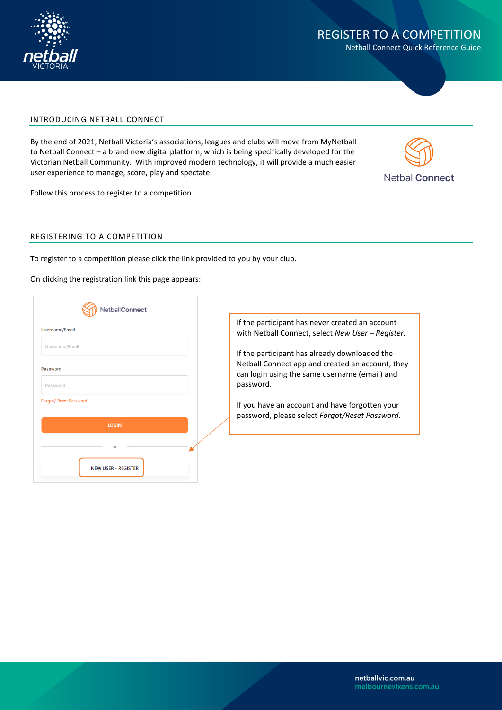

Netball Connect Quick Reference Guide

#### INTRODUCING NETBALL CONNECT

By the end of 2021, Netball Victoria's associations, leagues and clubs will move from MyNetball to Netball Connect – a brand new digital platform, which is being specifically developed for the Victorian Netball Community. With improved modern technology, it will provide a much easier user experience to manage, score, play and spectate.



Follow this process to register to a competition.

#### REGISTERING TO A COMPETITION

To register to a competition please click the link provided to you by your club.

On clicking the registration link this page appears:

| Username/Email         |              |  |
|------------------------|--------------|--|
| Username/Email         |              |  |
| Password               |              |  |
|                        |              |  |
| Password               |              |  |
| Forgot/ Reset Password |              |  |
|                        |              |  |
|                        | <b>LOGIN</b> |  |
|                        |              |  |
|                        | or           |  |

If the participant has never created an account with Netball Connect, select *New User - Register*.

If the participant has already downloaded the Netball Connect app and created an account, they can login using the same username (email) and password.

If you have an account and have forgotten your password, please select *Forgot/Reset Password.*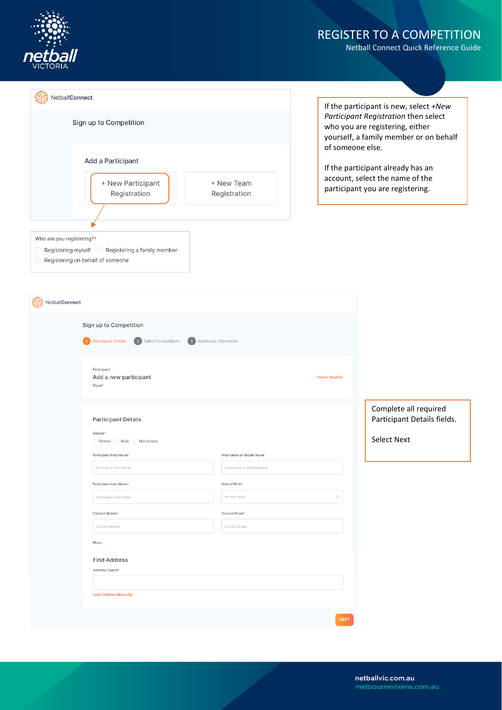

Netball Connect Quick Reference Guide

| NetballConnect                                                                 |                            |
|--------------------------------------------------------------------------------|----------------------------|
| Sign up to Competition                                                         |                            |
| <b>Add a Participant</b><br>+ New Participant<br>Registration                  | + New Team<br>Registration |
| Who are you registering?*<br>Registering myself  C Registering a family member |                            |
| Registering on behalf of someone                                               |                            |
| VetballConnect                                                                 |                            |

If the participant is new, select *+New Participant Registration* then select who you are registering, either yourself, a family member or on behalf of someone else.

If the participant already has an account, select the name of the participant you are registering.

| NetballConnect |                                                                                                      |                                        |                 |                                                      |
|----------------|------------------------------------------------------------------------------------------------------|----------------------------------------|-----------------|------------------------------------------------------|
|                | Sign up to Competition<br>2 Select Competitions<br>1 Participant Details<br>3 Additional Information |                                        |                 |                                                      |
|                | Participant<br>Add a new participant<br>Myself                                                       |                                        | +Select Another |                                                      |
|                | <b>Participant Details</b><br>Gender*                                                                |                                        |                 | Complete all required<br>Participant Details fields. |
|                | ○ Female ○ Male ○ Non-binary<br>Participant First Name*                                              | Alternative or Middle Name             |                 | <b>Select Next</b>                                   |
|                | <b>Participant First Name</b>                                                                        | Alternative or Middle Name             |                 |                                                      |
|                | Participant Last Name*<br>Participant Last Name                                                      | Date of Birth*<br>dd-mm-yyyy           | 自               |                                                      |
|                | Contact Mobile*<br><b>Contact Mobile</b>                                                             | Contact Email*<br><b>Contact Email</b> |                 |                                                      |
|                | Photo<br><b>Find Address</b><br>Address Search*<br><b>Enter Address Manually</b>                     |                                        |                 |                                                      |
|                |                                                                                                      |                                        | <b>NEXT</b>     |                                                      |

netballvic.com.au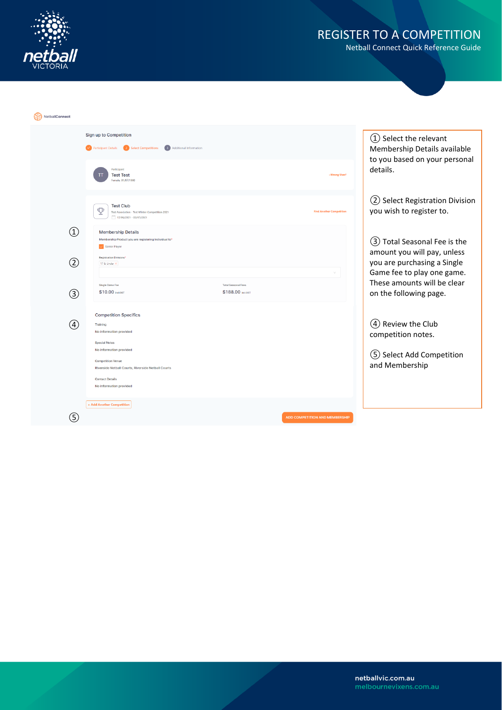

| Sign up to Competition<br>(1) Select the relevant<br>2 Select Competitions<br><b>3</b> Additional Information<br>Membership Details available<br>Participant Details<br>to you based on your personal<br>details.<br>Participant<br>+Wrong User?<br><b>Test Test</b><br>Female, 01/07/1980<br>2 Select Registration Division<br><b>Test Club</b><br>Φ<br>you wish to register to.<br><b>Find Another Competition</b><br>Test Association - Test Winter Competition 2021<br>17/06/2021 - 03/07/2021<br>$\textcircled{\scriptsize{1}}$<br><b>Membership Details</b><br>Membership Product you are registering Individual to*<br>(3) Total Seasonal Fee is the<br>V Senior Player<br>amount you will pay, unless<br><b>Registration Divisions*</b><br>$\circled{2}$<br>you are purchasing a Single<br>17 & Under X<br>Game fee to play one game.<br>These amounts will be clear<br>Single Game Fee<br><b>Total Seasonal Fees</b><br>\$10.00 incl.GST<br>\$188,00 incl.GST<br>on the following page.<br>(3)<br><b>Competition Specifics</b><br>(4) Review the Club<br>(4)<br>Training<br>No information provided<br>competition notes.<br><b>Special Notes</b><br>No information provided<br>5 Select Add Competition<br><b>Competition Venue</b><br>and Membership<br>Riverside Netball Courts, Riverside Netball Courts<br><b>Contact Details</b><br>No information provided<br>+ Add Another Competition<br>G<br><b>ADD COMPETITION AND MEMBERSHIP</b> | NetballConnect |  |  |
|-------------------------------------------------------------------------------------------------------------------------------------------------------------------------------------------------------------------------------------------------------------------------------------------------------------------------------------------------------------------------------------------------------------------------------------------------------------------------------------------------------------------------------------------------------------------------------------------------------------------------------------------------------------------------------------------------------------------------------------------------------------------------------------------------------------------------------------------------------------------------------------------------------------------------------------------------------------------------------------------------------------------------------------------------------------------------------------------------------------------------------------------------------------------------------------------------------------------------------------------------------------------------------------------------------------------------------------------------------------------------------------------------------------------------------------------------------|----------------|--|--|
|                                                                                                                                                                                                                                                                                                                                                                                                                                                                                                                                                                                                                                                                                                                                                                                                                                                                                                                                                                                                                                                                                                                                                                                                                                                                                                                                                                                                                                                       |                |  |  |
|                                                                                                                                                                                                                                                                                                                                                                                                                                                                                                                                                                                                                                                                                                                                                                                                                                                                                                                                                                                                                                                                                                                                                                                                                                                                                                                                                                                                                                                       |                |  |  |
|                                                                                                                                                                                                                                                                                                                                                                                                                                                                                                                                                                                                                                                                                                                                                                                                                                                                                                                                                                                                                                                                                                                                                                                                                                                                                                                                                                                                                                                       |                |  |  |
|                                                                                                                                                                                                                                                                                                                                                                                                                                                                                                                                                                                                                                                                                                                                                                                                                                                                                                                                                                                                                                                                                                                                                                                                                                                                                                                                                                                                                                                       |                |  |  |
|                                                                                                                                                                                                                                                                                                                                                                                                                                                                                                                                                                                                                                                                                                                                                                                                                                                                                                                                                                                                                                                                                                                                                                                                                                                                                                                                                                                                                                                       |                |  |  |
|                                                                                                                                                                                                                                                                                                                                                                                                                                                                                                                                                                                                                                                                                                                                                                                                                                                                                                                                                                                                                                                                                                                                                                                                                                                                                                                                                                                                                                                       |                |  |  |
|                                                                                                                                                                                                                                                                                                                                                                                                                                                                                                                                                                                                                                                                                                                                                                                                                                                                                                                                                                                                                                                                                                                                                                                                                                                                                                                                                                                                                                                       |                |  |  |
|                                                                                                                                                                                                                                                                                                                                                                                                                                                                                                                                                                                                                                                                                                                                                                                                                                                                                                                                                                                                                                                                                                                                                                                                                                                                                                                                                                                                                                                       |                |  |  |
|                                                                                                                                                                                                                                                                                                                                                                                                                                                                                                                                                                                                                                                                                                                                                                                                                                                                                                                                                                                                                                                                                                                                                                                                                                                                                                                                                                                                                                                       |                |  |  |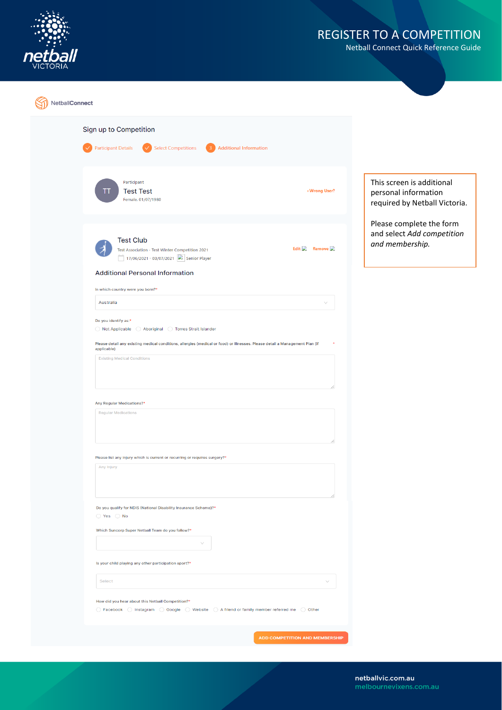

| NetballConnect |                                                                                                                                                                                                                                |                                                                                    |
|----------------|--------------------------------------------------------------------------------------------------------------------------------------------------------------------------------------------------------------------------------|------------------------------------------------------------------------------------|
|                | Sign up to Competition<br>Select Competitions<br><b>Participant Details</b><br><b>Additional Information</b><br>$\vee$<br>$\overline{3}$                                                                                       |                                                                                    |
|                | Participant<br><b>Test Test</b><br>+Wrong User?<br>Ш<br>Female, 01/07/1980                                                                                                                                                     | This screen is additional<br>personal information<br>required by Netball Victoria. |
|                | <b>Test Club</b><br>Edit Remove<br>Test Association - Test Winter Competition 2021<br>17/06/2021 - 03/07/2021 <b>D</b> Senior Player                                                                                           | Please complete the form<br>and select Add competition<br>and membership.          |
|                | <b>Additional Personal Information</b><br>In which country were you born?*<br>Australia                                                                                                                                        |                                                                                    |
|                | Do you identify as:*<br>Not Applicable<br>◯ Aboriginal ◯ Torres Strait Islander<br>Please detail any existing medical conditions, allergies (medical or food) or Illnesses. Please detail a Management Plan (if<br>applicable) |                                                                                    |
|                | <b>Existing Medical Conditions</b>                                                                                                                                                                                             |                                                                                    |
|                | Any Regular Medications?*<br><b>Regular Medications</b>                                                                                                                                                                        |                                                                                    |
|                | Please list any injury which is current or recurring or requires surgery?*<br>Any Injury                                                                                                                                       |                                                                                    |
|                | Do you qualify for NDIS (National Disability Insurance Scheme)?*<br>$\bigcirc$ Yes $\bigcirc$ No                                                                                                                               |                                                                                    |
|                | Which Suncorp Super Netball Team do you follow?*<br>Is your child playing any other participation sport?*                                                                                                                      |                                                                                    |
|                | Select<br>How did you hear about this Netball Competition?*                                                                                                                                                                    |                                                                                    |
|                | ○ Facebook ○ Instagram ○ Google ○ Website ○ A friend or family member referred me ○ Other                                                                                                                                      |                                                                                    |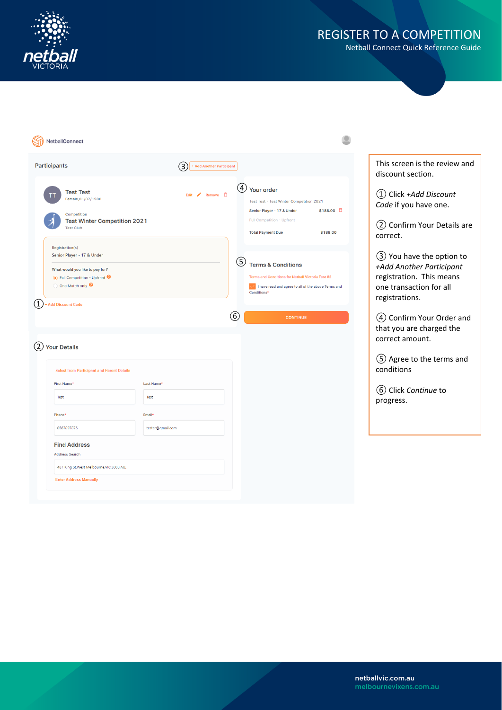

| NetballConnect                                                                                                                                                                                       |                                 |                                                                                                                                                                              |                                                                                                                               |
|------------------------------------------------------------------------------------------------------------------------------------------------------------------------------------------------------|---------------------------------|------------------------------------------------------------------------------------------------------------------------------------------------------------------------------|-------------------------------------------------------------------------------------------------------------------------------|
| <b>Participants</b>                                                                                                                                                                                  | 3)<br>+ Add Another Participant |                                                                                                                                                                              | This screen is the review and<br>discount section.                                                                            |
| <b>Test Test</b><br>Female, 01/07/1980<br>Competition<br><b>Test Winter Competition 2021</b><br><b>Test Club</b>                                                                                     | Edit / Remove 百                 | (4) Your order<br>Test Test - Test Winter Competition 2021<br>\$188.00 口<br>Senior Player - 17 & Under<br>Full Competition - Upfront<br>\$188.00<br><b>Total Payment Due</b> | 1) Click +Add Discount<br>Code if you have one.<br>(2) Confirm Your Details are<br>correct.                                   |
| Registration(s)<br>Senior Player - 17 & Under<br>What would you like to pay for?<br>● Full Competition - Upfront ●<br>O One Match only <sup>O</sup><br>$\left( 1\right)$<br><b>Add Discount Code</b> |                                 | (5)<br><b>Terms &amp; Conditions</b><br>Terms and Conditions for Netball Victoria Test #2<br>I have read and agree to all of the above Terms and<br>Conditions <sup>4</sup>  | 3 You have the option to<br>+Add Another Participant<br>registration. This means<br>one transaction for all<br>registrations. |
| $\overline{2}$<br><b>Your Details</b>                                                                                                                                                                |                                 | (6)<br><b>CONTINUE</b>                                                                                                                                                       | (4) Confirm Your Order and<br>that you are charged the<br>correct amount.<br>5 Agree to the terms and                         |
| <b>Select from Participant and Parent Details</b>                                                                                                                                                    |                                 |                                                                                                                                                                              | conditions                                                                                                                    |
| First Name*<br>Test                                                                                                                                                                                  | Last Name*<br>Test              |                                                                                                                                                                              | (6) Click Continue to<br>progress.                                                                                            |
| Phone <sup>®</sup><br>0567897876                                                                                                                                                                     | Email*<br>tester@gmail.com      |                                                                                                                                                                              |                                                                                                                               |
| <b>Find Address</b><br><b>Address Search</b>                                                                                                                                                         |                                 |                                                                                                                                                                              |                                                                                                                               |
| 487 King St, West Melbourne, VIC, 3003, AU,<br><b>Enter Address Manually</b>                                                                                                                         |                                 |                                                                                                                                                                              |                                                                                                                               |
|                                                                                                                                                                                                      |                                 |                                                                                                                                                                              |                                                                                                                               |